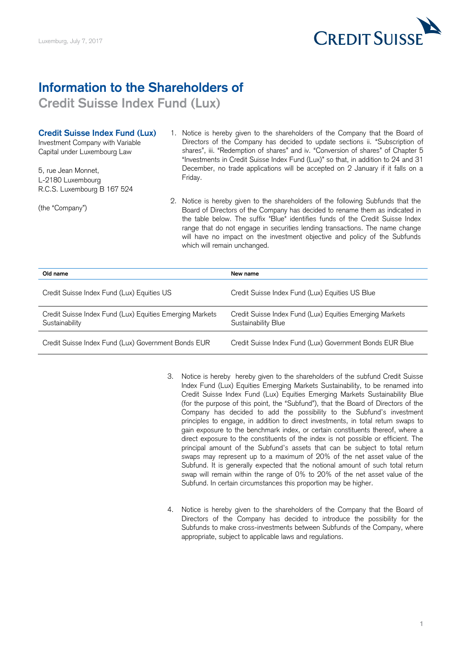

## **Information to the Shareholders of**

**Credit Suisse Index Fund (Lux)** 

## **Credit Suisse Index Fund (Lux)**

5, rue Jean Monnet, R.C.S. Luxembourg B 167 524 L-2180 Luxembourg **Example 1** Eriday.

- Credit Suisse Index Fund (Lux) 1. Notice is hereby given to the shareholders of the Company that the Board of Investment Company with Variable **Directors of the Company has decided to update sections ii.** "Subscription of Capital under Luxembourg Law shares", iii. "Redemption of shares" and iv. "Conversion of shares" of Chapter 5 "Investments in Credit Suisse Index Fund (Lux)" so that, in addition to 24 and 31 5, rue Jean Monnet, **Exercity Constant Constant** December, no trade applications will be accepted on 2 January if it falls on a
- 2. Notice is hereby given to the shareholders of the following Subfunds that the 2. Notice is hereby given to the shareholders of the following Subfunds that the (the "Company") Board of Directors of the Company has decided to rename them as indicated in the table below. The suffix "Blue" identifies funds of the Credit Suisse Index range that do not engage in securities lending transactions. The name change will have no impact on the investment objective and policy of the Subfunds which will remain unchanged.

| Old name                                                                   | New name                                                                        |
|----------------------------------------------------------------------------|---------------------------------------------------------------------------------|
| Credit Suisse Index Fund (Lux) Equities US                                 | Credit Suisse Index Fund (Lux) Equities US Blue                                 |
| Credit Suisse Index Fund (Lux) Equities Emerging Markets<br>Sustainability | Credit Suisse Index Fund (Lux) Equities Emerging Markets<br>Sustainability Blue |
| Credit Suisse Index Fund (Lux) Government Bonds EUR                        | Credit Suisse Index Fund (Lux) Government Bonds EUR Blue                        |

- 3. Notice is hereby hereby given to the shareholders of the subfund Credit Suisse Index Fund (Lux) Equities Emerging Markets Sustainability, to be renamed into Credit Suisse Index Fund (Lux) Equities Emerging Markets Sustainability Blue (for the purpose of this point, the "Subfund"), that the Board of Directors of the Company has decided to add the possibility to the Subfund's investment principles to engage, in addition to direct investments, in total return swaps to gain exposure to the benchmark index, or certain constituents thereof, where a direct exposure to the constituents of the index is not possible or efficient. The principal amount of the Subfund's assets that can be subject to total return swaps may represent up to a maximum of 20% of the net asset value of the Subfund. It is generally expected that the notional amount of such total return swap will remain within the range of 0% to 20% of the net asset value of the Subfund. In certain circumstances this proportion may be higher.
- 4. Notice is hereby given to the shareholders of the Company that the Board of Directors of the Company has decided to introduce the possibility for the Subfunds to make cross-investments between Subfunds of the Company, where appropriate, subject to applicable laws and regulations.